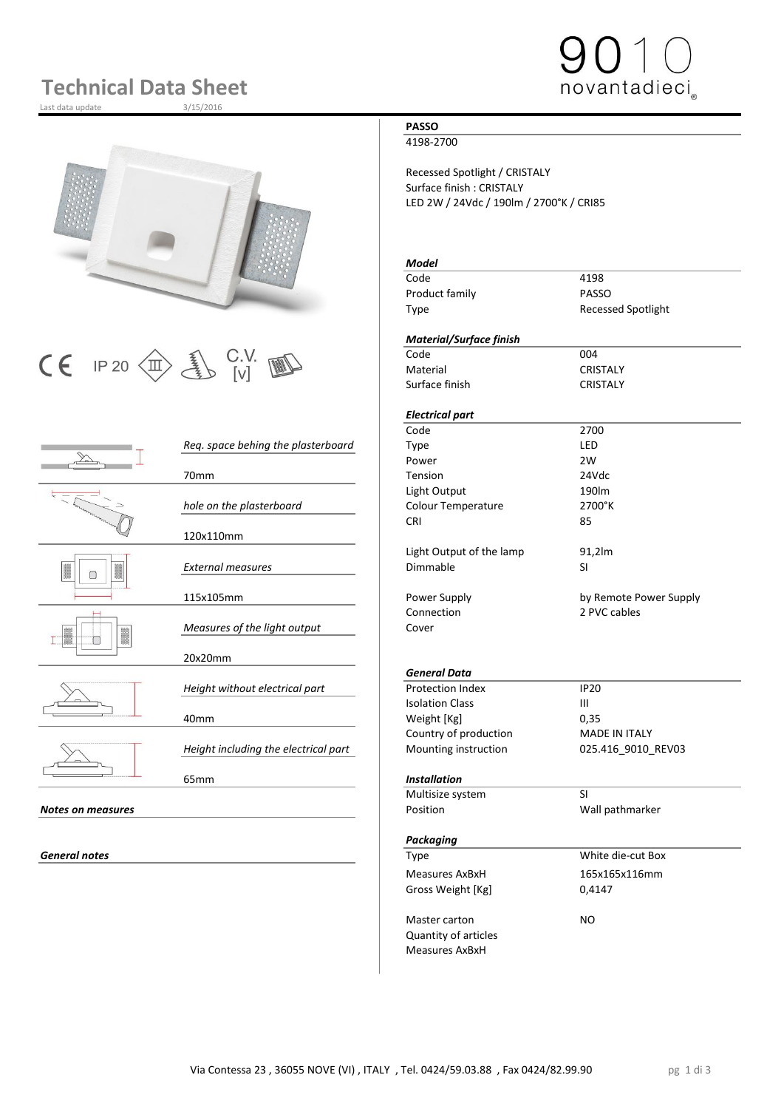# **Technical Data Sheet**

Last data update



# $\begin{array}{|c|c|c|c|}\n\hline\n\text{C} & \text{IP 20}\n\hline\n\text{CD} & \text{UV} & \text{W} & \text{C} & \text{C} & \text{C} & \text{C} & \text{C} & \text{C} & \text{C} \\
\hline\n\text{C} & \text{I} & \text{I} & \text{V} & \text{V} & \text{V} & \text{V} & \text{D} & \text{C} & \text{C} & \text{C} & \text{C} \\
\hline\n\end{array}$

|                          |                                      | coue       |
|--------------------------|--------------------------------------|------------|
|                          | Req. space behing the plasterboard   | Type       |
|                          |                                      | Powe       |
|                          | 70mm                                 | Tensio     |
|                          |                                      | Light      |
|                          | hole on the plasterboard             | Colou      |
|                          |                                      | <b>CRI</b> |
|                          | 120x110mm                            |            |
|                          |                                      | Light      |
| I<br>N                   | <b>External measures</b>             | Dimm       |
|                          |                                      |            |
|                          | 115x105mm                            | Powe       |
|                          |                                      | Conne      |
|                          | Measures of the light output         | Cover      |
| B                        |                                      |            |
|                          | 20x20mm                              |            |
|                          |                                      | Gene       |
|                          | Height without electrical part       | Prote      |
|                          |                                      | Isolat     |
|                          | 40 <sub>mm</sub>                     | Weigh      |
|                          |                                      | Count      |
|                          | Height including the electrical part | Mour       |
|                          |                                      |            |
|                          | 65 <sub>mm</sub>                     | Instal     |
|                          |                                      | Multi:     |
| <b>Notes on measures</b> |                                      | Positi     |
|                          |                                      |            |
|                          |                                      | Packo      |

### **PASSO**

4198-2700

Recessed Spotlight / CRISTALY Surface finish : CRISTALY LED 2W / 24Vdc / 190lm / 2700°K / CRI85

novantadieci

### *Model* Code 4198 Product family **PASSO** Type Recessed Spotlight *Material/Surface finish* Material CRISTALY Surface finish CRISTALY *Electrical part* Code 2700 *Req. space behing the plasterboard* Type LED Power 2W 70mm Tension 24Vdc Light Output 190lm *hole on the plasterboard* Colour Temperature 2700°K CRI 85 Light Output of the lamp 91,2lm *External measures* Dimmable SI Power Supply **115 and 115 and 115 and 115 and 115 and 115 and 115 and 115 and 115 and 115 and 115 and 115 and 11** Connection 2 PVC cables *General Data* **Protection Index IP20**<br>Isolation Class III **Isolation Class** Weight [Kg] 0,35 Country of production MADE IN ITALY Mounting instruction **025.416\_9010\_REV03** 65mm *Installation* Multisize system SI Position **Manual Position** Wall pathmarker *Packaging* **General notes** White die-cut Box

Master carton NO Quantity of articles Measures AxBxH

Measures AxBxH 165x165x116mm

Gross Weight [Kg] 0,4147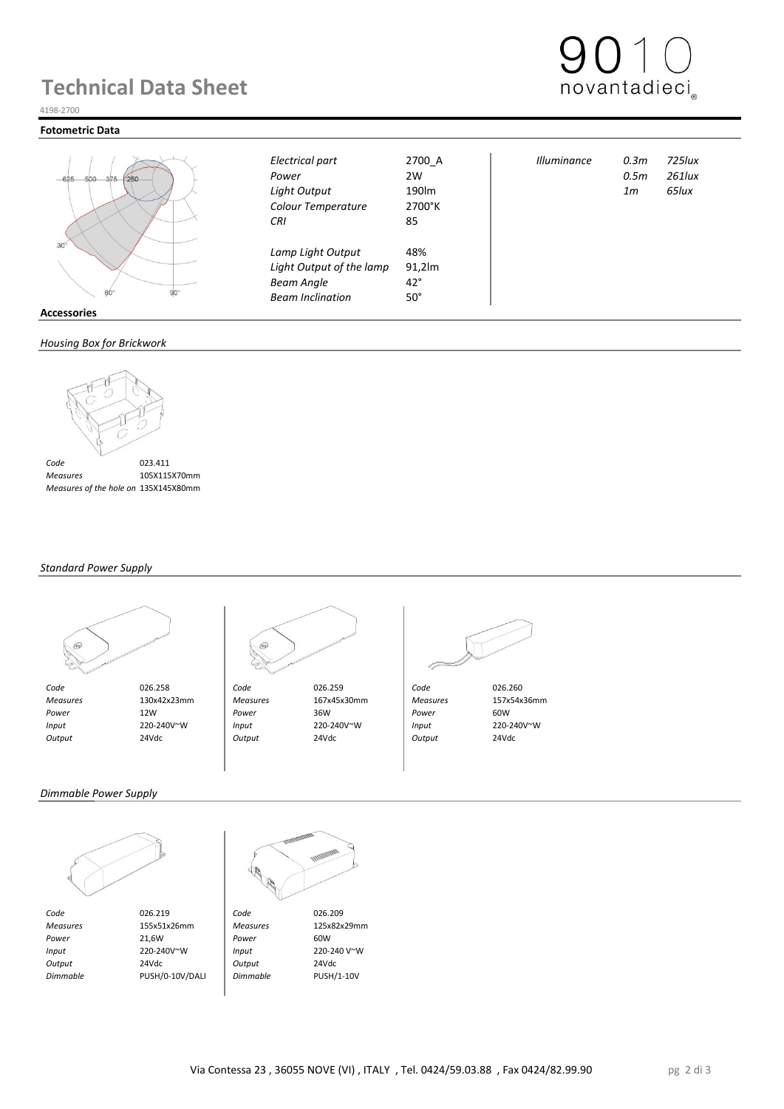## **Technical Data Sheet**



#### 4198-2700

#### **Fotometric Data**



|         | $\mathcal{L}^{\prime}$ |  |
|---------|------------------------|--|
| ö<br>RΙ | $90^\circ$             |  |
| ٠.      |                        |  |

#### **Accessories**

#### *Housing Box for Brickwork*



 *Measures* 105X115X70mm  *Measures of the hole on Brickwork* 135X145X80mm

#### *Standard Power Supply*





 *Code* 026.258 *Code* 026.259 *Code* 026.260  *Measures* 130x42x23mm *Measures* 167x45x30mm *Measures* 157x54x36mm  *Power* 12W *Power* 36W *Power* 60W  *Input* 220-240V~W *Input* 220-240V~W *Input* 220-240V~W  *Output* 24Vdc *Output* 24Vdc *Output* 24Vdc

*Colour Temperature* 2700°K *CRI* 85

*Lamp Light Output* 48%<br>*Light Output of the lamp* 91.2lm **Light Output of the lamp Beam Angle** 42° *Beam Inclination* 50°

*Electrical part* 2700\_A *Illuminance 0.3m 725lux Power* 2W *0.5m 261lux Light Output* 190lm *1m 65lux*

*Dimmable Power Supply*



*Code* 026.219 **Code** 026.209<br> *Measures* 155x51x26mm *Measures* 125x82x29mm  *Measures* 155x51x26mm *Measures* 125x82x29mm *Power* 21,6W **Power** 60W  *Input* 220-240V~W *Input* 220-240 V~W  *Output* 24Vdc *Output* 24Vdc

 *Dimmable* PUSH/0-10V/DALI *Dimmable* PUSH/1-10V